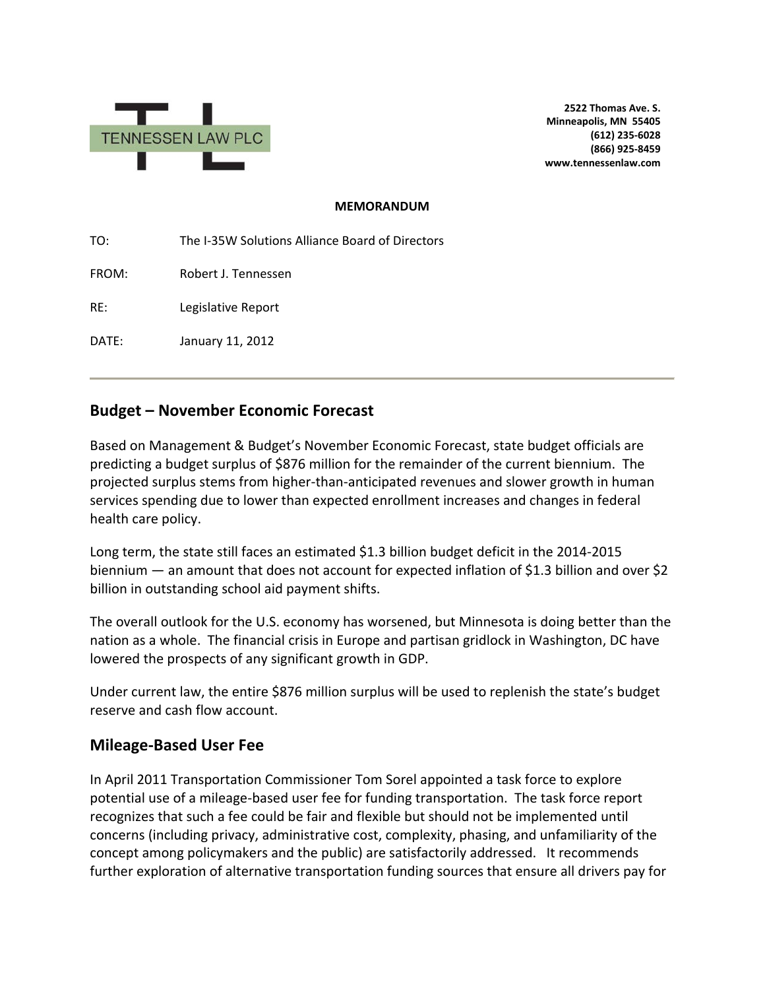

**2522 Thomas Ave. S. Minneapolis, MN 55405 (612) 235-6028 (866) 925-8459 www.tennessenlaw.com**

#### **MEMORANDUM**

TO: The I-35W Solutions Alliance Board of Directors

FROM: Robert J. Tennessen

RE: Legislative Report

DATE: January 11, 2012

# **Budget – November Economic Forecast**

Based on Management & Budget's November Economic Forecast, state budget officials are predicting a budget surplus of \$876 million for the remainder of the current biennium. The projected surplus stems from higher-than-anticipated revenues and slower growth in human services spending due to lower than expected enrollment increases and changes in federal health care policy.

Long term, the state still faces an estimated \$1.3 billion budget deficit in the 2014-2015 biennium — an amount that does not account for expected inflation of \$1.3 billion and over \$2 billion in outstanding school aid payment shifts.

The overall outlook for the U.S. economy has worsened, but Minnesota is doing better than the nation as a whole. The financial crisis in Europe and partisan gridlock in Washington, DC have lowered the prospects of any significant growth in GDP.

Under current law, the entire \$876 million surplus will be used to replenish the state's budget reserve and cash flow account.

## **Mileage-Based User Fee**

In April 2011 Transportation Commissioner Tom Sorel appointed a task force to explore potential use of a mileage-based user fee for funding transportation. The task force report recognizes that such a fee could be fair and flexible but should not be implemented until concerns (including privacy, administrative cost, complexity, phasing, and unfamiliarity of the concept among policymakers and the public) are satisfactorily addressed. It recommends further exploration of alternative transportation funding sources that ensure all drivers pay for